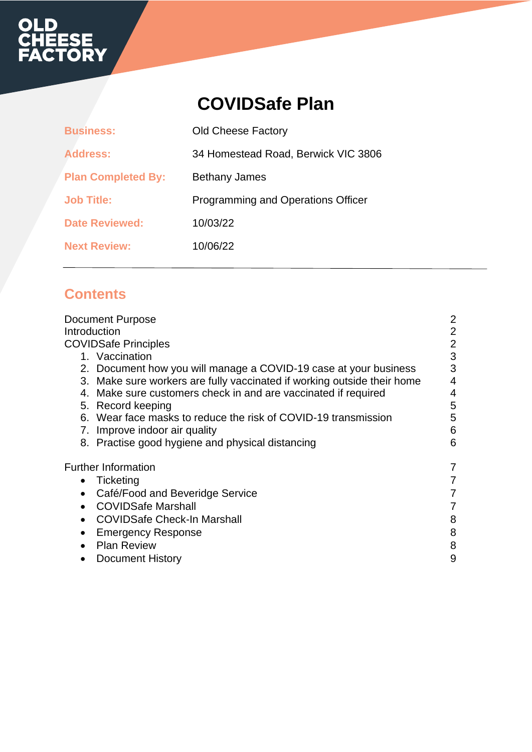# **OLD<br>CHEESE<br>FACTORY**

## **COVIDSafe Plan**

| <b>Business:</b>          | <b>Old Cheese Factory</b>           |
|---------------------------|-------------------------------------|
| <b>Address:</b>           | 34 Homestead Road, Berwick VIC 3806 |
| <b>Plan Completed By:</b> | <b>Bethany James</b>                |
| <b>Job Title:</b>         | Programming and Operations Officer  |
| <b>Date Reviewed:</b>     | 10/03/22                            |
| <b>Next Review:</b>       | 10/06/22                            |

## **Contents**

| <b>Document Purpose</b><br>Introduction<br><b>COVIDSafe Principles</b><br>1. Vaccination<br>2. Document how you will manage a COVID-19 case at your business<br>3. Make sure workers are fully vaccinated if working outside their home<br>4. Make sure customers check in and are vaccinated if required<br>5. Record keeping<br>6. Wear face masks to reduce the risk of COVID-19 transmission<br>Improve indoor air quality<br>7.<br>8. Practise good hygiene and physical distancing | $\overline{2}$<br>$\overline{2}$<br>$\overline{2}$<br>3<br>3<br>4<br>4<br>5<br>5<br>6<br>6 |
|------------------------------------------------------------------------------------------------------------------------------------------------------------------------------------------------------------------------------------------------------------------------------------------------------------------------------------------------------------------------------------------------------------------------------------------------------------------------------------------|--------------------------------------------------------------------------------------------|
| <b>Further Information</b><br>Ticketing<br>$\bullet$<br>Café/Food and Beveridge Service<br>$\bullet$<br><b>COVIDSafe Marshall</b><br>$\bullet$<br><b>COVIDSafe Check-In Marshall</b><br>$\bullet$<br><b>Emergency Response</b><br>٠<br><b>Plan Review</b><br>$\bullet$<br><b>Document History</b>                                                                                                                                                                                        | 7<br>8<br>8<br>8<br>9                                                                      |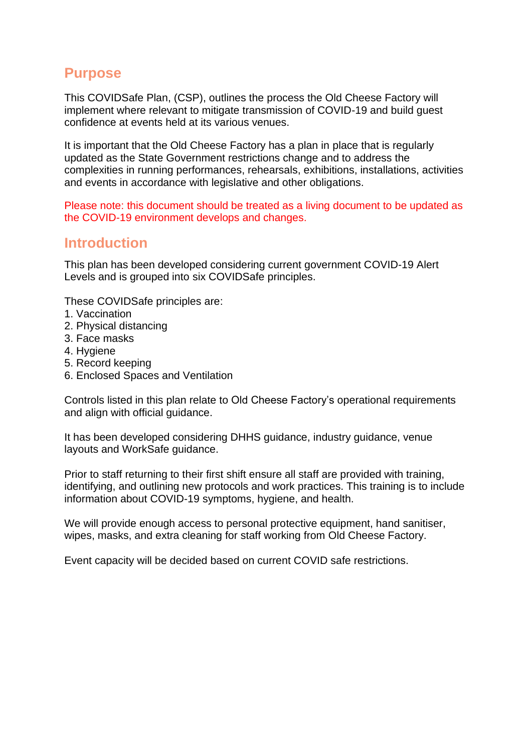## **Purpose**

This COVIDSafe Plan, (CSP), outlines the process the Old Cheese Factory will implement where relevant to mitigate transmission of COVID-19 and build guest confidence at events held at its various venues.

It is important that the Old Cheese Factory has a plan in place that is regularly updated as the State Government restrictions change and to address the complexities in running performances, rehearsals, exhibitions, installations, activities and events in accordance with legislative and other obligations.

Please note: this document should be treated as a living document to be updated as the COVID-19 environment develops and changes.

### **Introduction**

This plan has been developed considering current government COVID-19 Alert Levels and is grouped into six COVIDSafe principles.

These COVIDSafe principles are:

- 1. Vaccination
- 2. Physical distancing
- 3. Face masks
- 4. Hygiene
- 5. Record keeping
- 6. Enclosed Spaces and Ventilation

Controls listed in this plan relate to Old Cheese Factory's operational requirements and align with official guidance.

It has been developed considering DHHS guidance, industry guidance, venue layouts and WorkSafe guidance.

Prior to staff returning to their first shift ensure all staff are provided with training, identifying, and outlining new protocols and work practices. This training is to include information about COVID-19 symptoms, hygiene, and health.

We will provide enough access to personal protective equipment, hand sanitiser, wipes, masks, and extra cleaning for staff working from Old Cheese Factory.

Event capacity will be decided based on current COVID safe restrictions.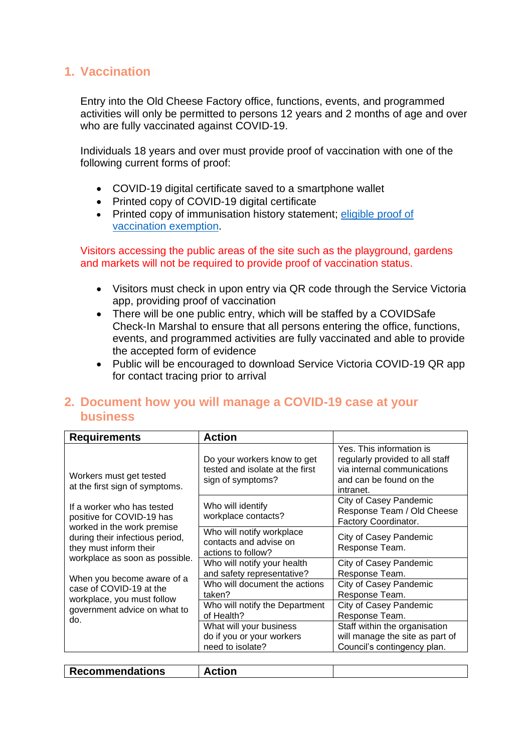#### **1. Vaccination**

Entry into the Old Cheese Factory office, functions, events, and programmed activities will only be permitted to persons 12 years and 2 months of age and over who are fully vaccinated against COVID-19.

Individuals 18 years and over must provide proof of vaccination with one of the following current forms of proof:

- COVID-19 digital certificate saved to a smartphone wallet
- Printed copy of COVID-19 digital certificate
- Printed copy of immunisation history statement; eligible proof of [vaccination](https://aus01.safelinks.protection.outlook.com/?url=https%3A%2F%2Fwww.coronavirus.vic.gov.au%2Fget-your-covid-19-digital-certificate%23showing-proof-of-your-vaccination-exemption&data=04%7C01%7Cbjames%40casey.vic.gov.au%7Cf15559285547460b740c08d9ff5821c2%7C44a029424e5b420a8bc4f60b91281f2e%7C1%7C0%7C637821576267608191%7CUnknown%7CTWFpbGZsb3d8eyJWIjoiMC4wLjAwMDAiLCJQIjoiV2luMzIiLCJBTiI6Ik1haWwiLCJXVCI6Mn0%3D%7C3000&sdata=pUXbR64AImoOGHAfZ%2FNbIHco6r0dEik9wn475sC4ed4%3D&reserved=0) exemption.

Visitors accessing the public areas of the site such as the playground, gardens and markets will not be required to provide proof of vaccination status.

- Visitors must check in upon entry via QR code through the Service Victoria app, providing proof of vaccination
- There will be one public entry, which will be staffed by a COVIDSafe Check-In Marshal to ensure that all persons entering the office, functions, events, and programmed activities are fully vaccinated and able to provide the accepted form of evidence
- Public will be encouraged to download Service Victoria COVID-19 QR app for contact tracing prior to arrival

#### **2. Document how you will manage a COVID-19 case at your business**

| <b>Requirements</b>                                                                                                                                | <b>Action</b>                                                                       |                                                                                                                                    |
|----------------------------------------------------------------------------------------------------------------------------------------------------|-------------------------------------------------------------------------------------|------------------------------------------------------------------------------------------------------------------------------------|
| Workers must get tested<br>at the first sign of symptoms.                                                                                          | Do your workers know to get<br>tested and isolate at the first<br>sign of symptoms? | Yes. This information is<br>regularly provided to all staff<br>via internal communications<br>and can be found on the<br>intranet. |
| If a worker who has tested<br>positive for COVID-19 has<br>worked in the work premise<br>during their infectious period,<br>they must inform their | Who will identify<br>workplace contacts?                                            | City of Casey Pandemic<br>Response Team / Old Cheese<br>Factory Coordinator.                                                       |
|                                                                                                                                                    | Who will notify workplace<br>contacts and advise on<br>actions to follow?           | City of Casey Pandemic<br>Response Team.                                                                                           |
| workplace as soon as possible.                                                                                                                     | Who will notify your health<br>and safety representative?                           | City of Casey Pandemic<br>Response Team.                                                                                           |
| When you become aware of a<br>case of COVID-19 at the<br>workplace, you must follow                                                                | Who will document the actions<br>taken?                                             | City of Casey Pandemic<br>Response Team.                                                                                           |
| government advice on what to<br>do.                                                                                                                | Who will notify the Department<br>of Health?                                        | City of Casey Pandemic<br>Response Team.                                                                                           |
|                                                                                                                                                    | What will your business<br>do if you or your workers                                | Staff within the organisation<br>will manage the site as part of                                                                   |
|                                                                                                                                                    | need to isolate?                                                                    | Council's contingency plan.                                                                                                        |

|--|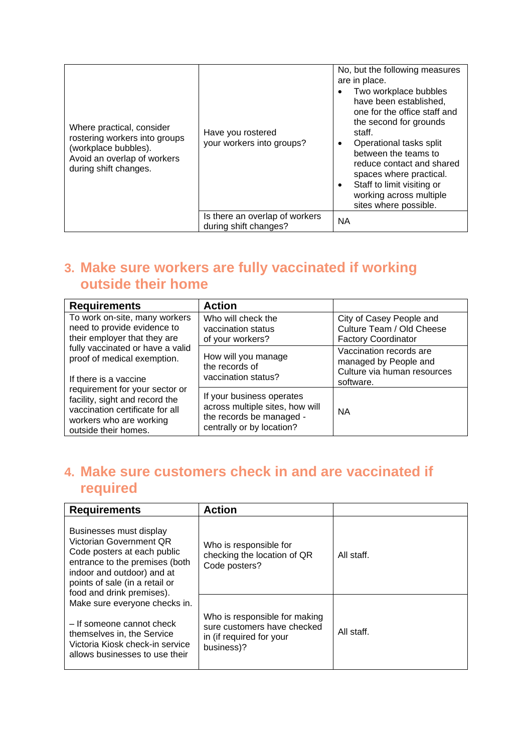| Where practical, consider<br>rostering workers into groups<br>(workplace bubbles).<br>Avoid an overlap of workers<br>during shift changes. | Have you rostered<br>your workers into groups?          | No, but the following measures<br>are in place.<br>Two workplace bubbles<br>have been established,<br>one for the office staff and<br>the second for grounds<br>staff.<br>Operational tasks split<br>٠<br>between the teams to<br>reduce contact and shared<br>spaces where practical.<br>Staff to limit visiting or<br>$\bullet$<br>working across multiple<br>sites where possible. |
|--------------------------------------------------------------------------------------------------------------------------------------------|---------------------------------------------------------|---------------------------------------------------------------------------------------------------------------------------------------------------------------------------------------------------------------------------------------------------------------------------------------------------------------------------------------------------------------------------------------|
|                                                                                                                                            | Is there an overlap of workers<br>during shift changes? | <b>NA</b>                                                                                                                                                                                                                                                                                                                                                                             |

## **3. Make sure workers are fully vaccinated if working outside their home**

| <b>Requirements</b>                                                                                                                                    | <b>Action</b>                                                                                                         |                                                                                              |
|--------------------------------------------------------------------------------------------------------------------------------------------------------|-----------------------------------------------------------------------------------------------------------------------|----------------------------------------------------------------------------------------------|
| To work on-site, many workers<br>need to provide evidence to<br>their employer that they are                                                           | Who will check the<br>vaccination status<br>of your workers?                                                          | City of Casey People and<br>Culture Team / Old Cheese<br><b>Factory Coordinator</b>          |
| fully vaccinated or have a valid<br>proof of medical exemption.<br>If there is a vaccine                                                               | How will you manage<br>the records of<br>vaccination status?                                                          | Vaccination records are<br>managed by People and<br>Culture via human resources<br>software. |
| requirement for your sector or<br>facility, sight and record the<br>vaccination certificate for all<br>workers who are working<br>outside their homes. | If your business operates<br>across multiple sites, how will<br>the records be managed -<br>centrally or by location? | <b>NA</b>                                                                                    |

## **4. Make sure customers check in and are vaccinated if required**

| <b>Requirements</b>                                                                                                                                                                                              | <b>Action</b>                                                                                          |            |
|------------------------------------------------------------------------------------------------------------------------------------------------------------------------------------------------------------------|--------------------------------------------------------------------------------------------------------|------------|
| Businesses must display<br>Victorian Government QR<br>Code posters at each public<br>entrance to the premises (both<br>indoor and outdoor) and at<br>points of sale (in a retail or<br>food and drink premises). | Who is responsible for<br>checking the location of QR<br>Code posters?                                 | All staff. |
| Make sure everyone checks in.<br>- If someone cannot check<br>themselves in, the Service<br>Victoria Kiosk check-in service<br>allows businesses to use their                                                    | Who is responsible for making<br>sure customers have checked<br>in (if required for your<br>business)? | All staff. |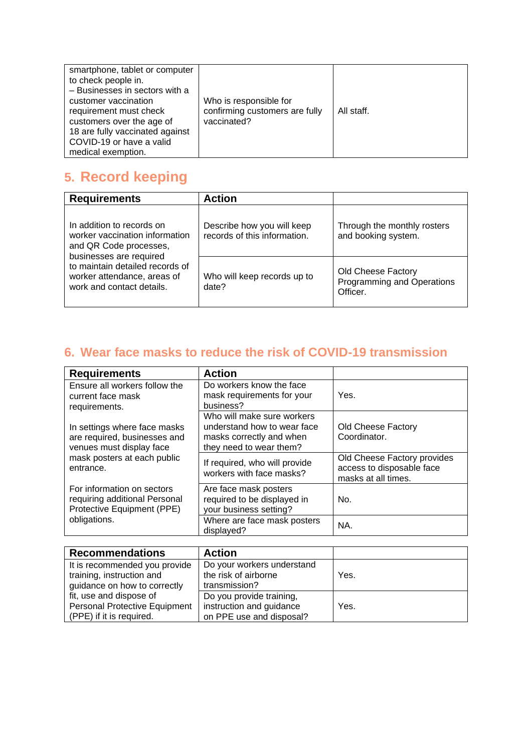## **5. Record keeping**

| <b>Requirements</b>                                                                                              | <b>Action</b>                                              |                                                              |
|------------------------------------------------------------------------------------------------------------------|------------------------------------------------------------|--------------------------------------------------------------|
| In addition to records on<br>worker vaccination information<br>and QR Code processes,<br>businesses are required | Describe how you will keep<br>records of this information. | Through the monthly rosters<br>and booking system.           |
| to maintain detailed records of<br>worker attendance, areas of<br>work and contact details.                      | Who will keep records up to<br>date?                       | Old Cheese Factory<br>Programming and Operations<br>Officer. |

## **6. Wear face masks to reduce the risk of COVID-19 transmission**

| <b>Requirements</b>                                                                       | <b>Action</b>                                                                                                    |                                                                                 |
|-------------------------------------------------------------------------------------------|------------------------------------------------------------------------------------------------------------------|---------------------------------------------------------------------------------|
| Ensure all workers follow the<br>current face mask<br>requirements.                       | Do workers know the face<br>mask requirements for your<br>business?                                              | Yes.                                                                            |
| In settings where face masks<br>are required, businesses and<br>venues must display face  | Who will make sure workers<br>understand how to wear face<br>masks correctly and when<br>they need to wear them? | Old Cheese Factory<br>Coordinator.                                              |
| mask posters at each public<br>entrance.                                                  | If required, who will provide<br>workers with face masks?                                                        | Old Cheese Factory provides<br>access to disposable face<br>masks at all times. |
| For information on sectors<br>requiring additional Personal<br>Protective Equipment (PPE) | Are face mask posters<br>required to be displayed in<br>your business setting?                                   | No.                                                                             |
| obligations.                                                                              | Where are face mask posters<br>displayed?                                                                        | NA.                                                                             |

| <b>Recommendations</b>        | <b>Action</b>              |      |
|-------------------------------|----------------------------|------|
| It is recommended you provide | Do your workers understand |      |
| training, instruction and     | the risk of airborne       | Yes. |
| guidance on how to correctly  | transmission?              |      |
| fit, use and dispose of       | Do you provide training,   |      |
| Personal Protective Equipment | instruction and guidance   | Yes. |
| (PPE) if it is required.      | on PPE use and disposal?   |      |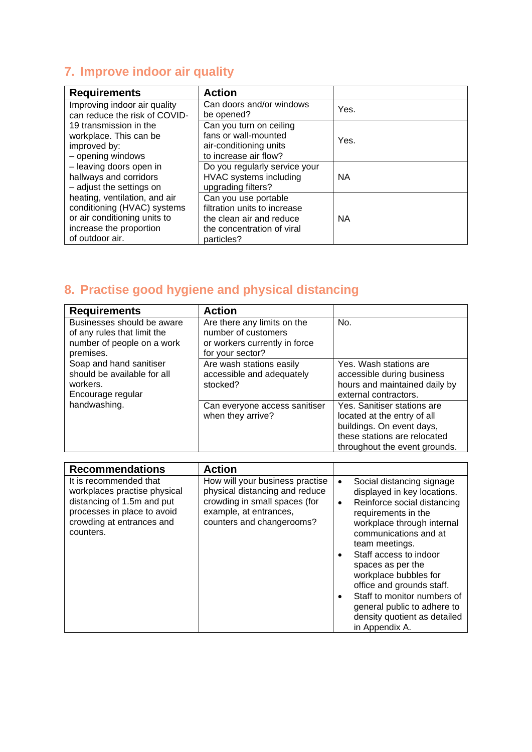## **7. Improve indoor air quality**

| <b>Requirements</b>                                                                                                                        | <b>Action</b>                                                                                                                |           |
|--------------------------------------------------------------------------------------------------------------------------------------------|------------------------------------------------------------------------------------------------------------------------------|-----------|
| Improving indoor air quality<br>can reduce the risk of COVID-                                                                              | Can doors and/or windows<br>be opened?                                                                                       | Yes.      |
| 19 transmission in the<br>workplace. This can be<br>improved by:<br>- opening windows                                                      | Can you turn on ceiling<br>fans or wall-mounted<br>air-conditioning units<br>to increase air flow?                           | Yes.      |
| - leaving doors open in<br>hallways and corridors<br>- adjust the settings on                                                              | Do you regularly service your<br>HVAC systems including<br>upgrading filters?                                                | <b>NA</b> |
| heating, ventilation, and air<br>conditioning (HVAC) systems<br>or air conditioning units to<br>increase the proportion<br>of outdoor air. | Can you use portable<br>filtration units to increase<br>the clean air and reduce<br>the concentration of viral<br>particles? | <b>NA</b> |

## **8. Practise good hygiene and physical distancing**

| <b>Requirements</b>                                                                                  | <b>Action</b>                                                                                           |                                                                                                                                                          |
|------------------------------------------------------------------------------------------------------|---------------------------------------------------------------------------------------------------------|----------------------------------------------------------------------------------------------------------------------------------------------------------|
| Businesses should be aware<br>of any rules that limit the<br>number of people on a work<br>premises. | Are there any limits on the<br>number of customers<br>or workers currently in force<br>for your sector? | No.                                                                                                                                                      |
| Soap and hand sanitiser<br>should be available for all<br>workers.<br>Encourage regular              | Are wash stations easily<br>accessible and adequately<br>stocked?                                       | Yes. Wash stations are<br>accessible during business<br>hours and maintained daily by<br>external contractors.                                           |
| handwashing.                                                                                         | Can everyone access sanitiser<br>when they arrive?                                                      | Yes. Sanitiser stations are<br>located at the entry of all<br>buildings. On event days,<br>these stations are relocated<br>throughout the event grounds. |

| <b>Recommendations</b>                                                                                                                                        | <b>Action</b>                                                                                                                                             |                                                                                                                                                                                                                                                                                                                                                                                                                                        |
|---------------------------------------------------------------------------------------------------------------------------------------------------------------|-----------------------------------------------------------------------------------------------------------------------------------------------------------|----------------------------------------------------------------------------------------------------------------------------------------------------------------------------------------------------------------------------------------------------------------------------------------------------------------------------------------------------------------------------------------------------------------------------------------|
| It is recommended that<br>workplaces practise physical<br>distancing of 1.5m and put<br>processes in place to avoid<br>crowding at entrances and<br>counters. | How will your business practise<br>physical distancing and reduce<br>crowding in small spaces (for<br>example, at entrances,<br>counters and changerooms? | Social distancing signage<br>$\bullet$<br>displayed in key locations.<br>Reinforce social distancing<br>$\bullet$<br>requirements in the<br>workplace through internal<br>communications and at<br>team meetings.<br>Staff access to indoor<br>spaces as per the<br>workplace bubbles for<br>office and grounds staff.<br>Staff to monitor numbers of<br>general public to adhere to<br>density quotient as detailed<br>in Appendix A. |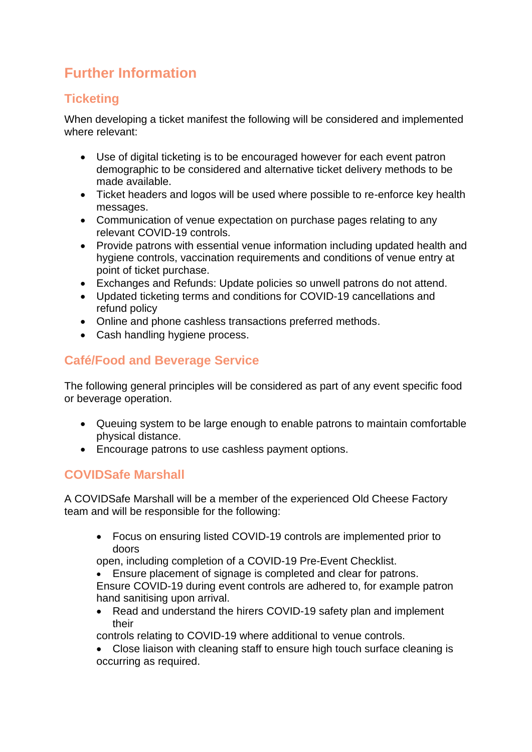## **Further Information**

#### **Ticketing**

When developing a ticket manifest the following will be considered and implemented where relevant:

- Use of digital ticketing is to be encouraged however for each event patron demographic to be considered and alternative ticket delivery methods to be made available.
- Ticket headers and logos will be used where possible to re-enforce key health messages.
- Communication of venue expectation on purchase pages relating to any relevant COVID-19 controls.
- Provide patrons with essential venue information including updated health and hygiene controls, vaccination requirements and conditions of venue entry at point of ticket purchase.
- Exchanges and Refunds: Update policies so unwell patrons do not attend.
- Updated ticketing terms and conditions for COVID-19 cancellations and refund policy
- Online and phone cashless transactions preferred methods.
- Cash handling hygiene process.

### **Café/Food and Beverage Service**

The following general principles will be considered as part of any event specific food or beverage operation.

- Queuing system to be large enough to enable patrons to maintain comfortable physical distance.
- Encourage patrons to use cashless payment options.

#### **COVIDSafe Marshall**

A COVIDSafe Marshall will be a member of the experienced Old Cheese Factory team and will be responsible for the following:

• Focus on ensuring listed COVID-19 controls are implemented prior to doors

open, including completion of a COVID-19 Pre-Event Checklist.

• Ensure placement of signage is completed and clear for patrons. Ensure COVID-19 during event controls are adhered to, for example patron hand sanitising upon arrival.

• Read and understand the hirers COVID-19 safety plan and implement their

controls relating to COVID-19 where additional to venue controls.

• Close liaison with cleaning staff to ensure high touch surface cleaning is occurring as required.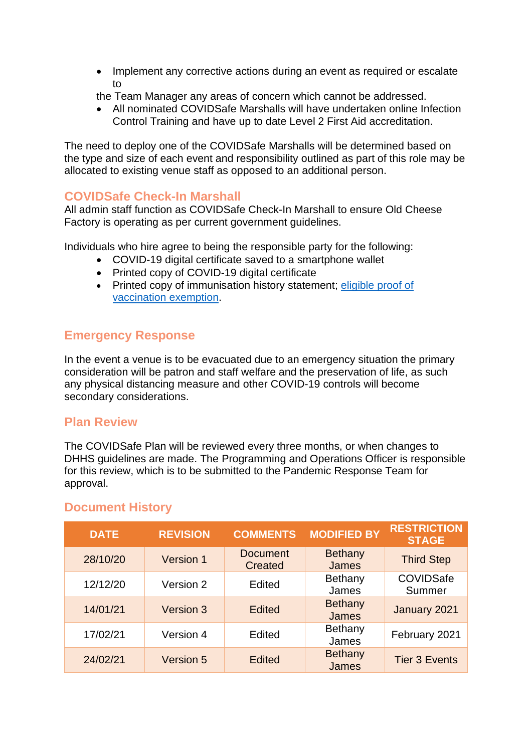- Implement any corrective actions during an event as required or escalate to
- the Team Manager any areas of concern which cannot be addressed.
- All nominated COVIDSafe Marshalls will have undertaken online Infection Control Training and have up to date Level 2 First Aid accreditation.

The need to deploy one of the COVIDSafe Marshalls will be determined based on the type and size of each event and responsibility outlined as part of this role may be allocated to existing venue staff as opposed to an additional person.

#### **COVIDSafe Check-In Marshall**

All admin staff function as COVIDSafe Check-In Marshall to ensure Old Cheese Factory is operating as per current government quidelines.

Individuals who hire agree to being the responsible party for the following:

- COVID-19 digital certificate saved to a smartphone wallet
- Printed copy of COVID-19 digital certificate
- Printed copy of immunisation history statement; eligible proof of [vaccination](https://aus01.safelinks.protection.outlook.com/?url=https%3A%2F%2Fwww.coronavirus.vic.gov.au%2Fget-your-covid-19-digital-certificate%23showing-proof-of-your-vaccination-exemption&data=04%7C01%7Cbjames%40casey.vic.gov.au%7Cf15559285547460b740c08d9ff5821c2%7C44a029424e5b420a8bc4f60b91281f2e%7C1%7C0%7C637821576267608191%7CUnknown%7CTWFpbGZsb3d8eyJWIjoiMC4wLjAwMDAiLCJQIjoiV2luMzIiLCJBTiI6Ik1haWwiLCJXVCI6Mn0%3D%7C3000&sdata=pUXbR64AImoOGHAfZ%2FNbIHco6r0dEik9wn475sC4ed4%3D&reserved=0) exemption.

#### **Emergency Response**

In the event a venue is to be evacuated due to an emergency situation the primary consideration will be patron and staff welfare and the preservation of life, as such any physical distancing measure and other COVID-19 controls will become secondary considerations.

#### **Plan Review**

The COVIDSafe Plan will be reviewed every three months, or when changes to DHHS guidelines are made. The Programming and Operations Officer is responsible for this review, which is to be submitted to the Pandemic Response Team for approval.

| <b>DATE</b> | <b>REVISION</b>  | <b>COMMENTS</b>            | <b>MODIFIED BY</b>      | <b>RESTRICTION</b><br><b>STAGE</b> |
|-------------|------------------|----------------------------|-------------------------|------------------------------------|
| 28/10/20    | <b>Version 1</b> | <b>Document</b><br>Created | <b>Bethany</b><br>James | <b>Third Step</b>                  |
| 12/12/20    | Version 2        | Edited                     | Bethany<br>James        | COVIDSafe<br>Summer                |
| 14/01/21    | Version 3        | <b>Edited</b>              | <b>Bethany</b><br>James | January 2021                       |
| 17/02/21    | Version 4        | Edited                     | Bethany<br>James        | February 2021                      |
| 24/02/21    | Version 5        | <b>Edited</b>              | <b>Bethany</b><br>James | <b>Tier 3 Events</b>               |

#### **Document History**